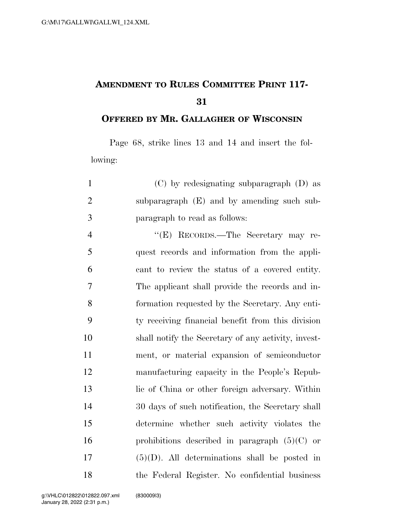## **AMENDMENT TO RULES COMMITTEE PRINT 117-**

**OFFERED BY MR. GALLAGHER OF WISCONSIN**

Page 68, strike lines 13 and 14 and insert the following:

| $\mathbf{1}$   | $(C)$ by redesignating subparagraph $(D)$ as        |
|----------------|-----------------------------------------------------|
| $\mathfrak{2}$ | subparagraph (E) and by amending such sub-          |
| 3              | paragraph to read as follows:                       |
| $\overline{4}$ | "(E) RECORDS.—The Secretary may re-                 |
| 5              | quest records and information from the appli-       |
| 6              | cant to review the status of a covered entity.      |
| 7              | The applicant shall provide the records and in-     |
| 8              | formation requested by the Secretary. Any enti-     |
| 9              | ty receiving financial benefit from this division   |
| 10             | shall notify the Secretary of any activity, invest- |
| 11             | ment, or material expansion of semiconductor        |
| 12             | manufacturing capacity in the People's Repub-       |
| 13             | lic of China or other foreign adversary. Within     |
| 14             | 30 days of such notification, the Secretary shall   |
| 15             | determine whether such activity violates the        |
| 16             | prohibitions described in paragraph $(5)(C)$ or     |
| 17             | $(5)(D)$ . All determinations shall be posted in    |
| 18             | the Federal Register. No confidential business      |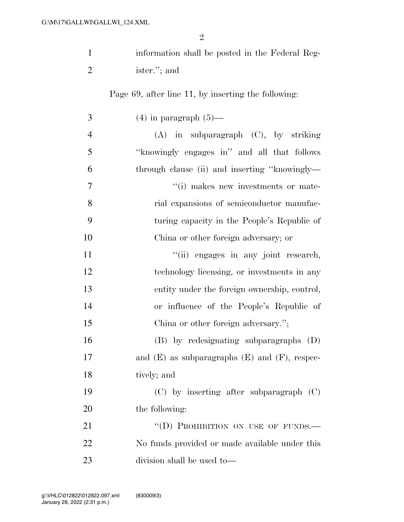| $\mathbf{1}$   |                                                      |
|----------------|------------------------------------------------------|
|                | information shall be posted in the Federal Reg-      |
| $\overline{2}$ | ister."; and                                         |
|                | Page 69, after line 11, by inserting the following:  |
| 3              | $(4)$ in paragraph $(5)$ —                           |
| $\overline{4}$ | $(A)$ in subparagraph $(C)$ , by striking            |
| 5              | "knowingly engages in" and all that follows          |
| 6              | through clause (ii) and inserting "knowingly—        |
| 7              | "(i) makes new investments or mate-                  |
| 8              | rial expansions of semiconductor manufac-            |
| 9              | turing capacity in the People's Republic of          |
| 10             | China or other foreign adversary; or                 |
| 11             | "(ii) engages in any joint research,                 |
| 12             | technology licensing, or investments in any          |
| 13             | entity under the foreign ownership, control,         |
| 14             | or influence of the People's Republic of             |
| 15             | China or other foreign adversary.";                  |
| 16             | (B) by redesignating subparagraphs (D)               |
| 17             | and $(E)$ as subparagraphs $(E)$ and $(F)$ , respec- |
| 18             | tively; and                                          |
| 19             | $(C)$ by inserting after subparagraph $(C)$          |
| 20             | the following:                                       |
| 21             | "(D) PROHIBITION ON USE OF FUNDS.-                   |
| 22             | No funds provided or made available under this       |
| 23             | division shall be used to—                           |